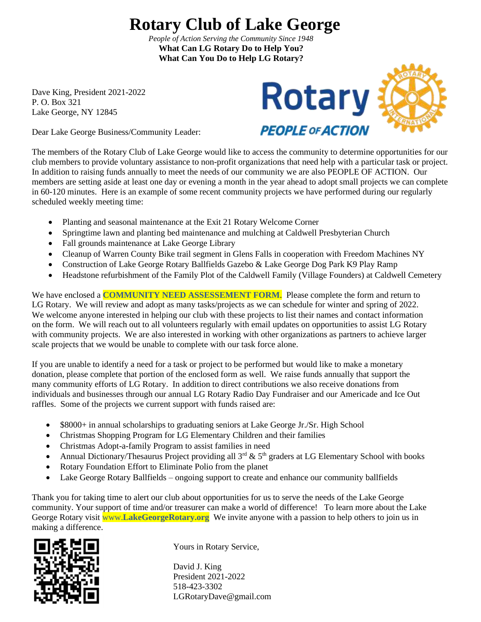## **Rotary Club of Lake George**

 *People of Action Serving the Community Since 1948*  **What Can LG Rotary Do to Help You? What Can You Do to Help LG Rotary?**

Dave King, President 2021-2022 P. O. Box 321

Dear Lake George Business/Community Leader:



The members of the Rotary Club of Lake George would like to access the community to determine opportunities for our club members to provide voluntary assistance to non-profit organizations that need help with a particular task or project. In addition to raising funds annually to meet the needs of our community we are also PEOPLE OF ACTION. Our members are setting aside at least one day or evening a month in the year ahead to adopt small projects we can complete in 60-120 minutes. Here is an example of some recent community projects we have performed during our regularly scheduled weekly meeting time:

- Planting and seasonal maintenance at the Exit 21 Rotary Welcome Corner
- Springtime lawn and planting bed maintenance and mulching at Caldwell Presbyterian Church
- Fall grounds maintenance at Lake George Library
- Cleanup of Warren County Bike trail segment in Glens Falls in cooperation with Freedom Machines NY
- Construction of Lake George Rotary Ballfields Gazebo & Lake George Dog Park K9 Play Ramp
- Headstone refurbishment of the Family Plot of the Caldwell Family (Village Founders) at Caldwell Cemetery

We have enclosed a **COMMUNITY NEED ASSESSEMENT FORM.** Please complete the form and return to LG Rotary. We will review and adopt as many tasks/projects as we can schedule for winter and spring of 2022. We welcome anyone interested in helping our club with these projects to list their names and contact information on the form. We will reach out to all volunteers regularly with email updates on opportunities to assist LG Rotary with community projects. We are also interested in working with other organizations as partners to achieve larger scale projects that we would be unable to complete with our task force alone.

If you are unable to identify a need for a task or project to be performed but would like to make a monetary donation, please complete that portion of the enclosed form as well. We raise funds annually that support the many community efforts of LG Rotary. In addition to direct contributions we also receive donations from individuals and businesses through our annual LG Rotary Radio Day Fundraiser and our Americade and Ice Out raffles. Some of the projects we current support with funds raised are:

- \$8000+ in annual scholarships to graduating seniors at Lake George Jr./Sr. High School
- Christmas Shopping Program for LG Elementary Children and their families
- Christmas Adopt-a-family Program to assist families in need
- Annual Dictionary/Thesaurus Project providing all  $3^{rd}$  &  $5^{th}$  graders at LG Elementary School with books
- Rotary Foundation Effort to Eliminate Polio from the planet
- Lake George Rotary Ballfields ongoing support to create and enhance our community ballfields

Thank you for taking time to alert our club about opportunities for us to serve the needs of the Lake George community. Your support of time and/or treasurer can make a world of difference! To learn more about the Lake George Rotary visit www.**LakeGeorgeRotary.org** We invite anyone with a passion to help others to join us in making a difference.



Yours in Rotary Service,

David J. King President 2021-2022 518-423-3302 LGRotaryDave@gmail.com